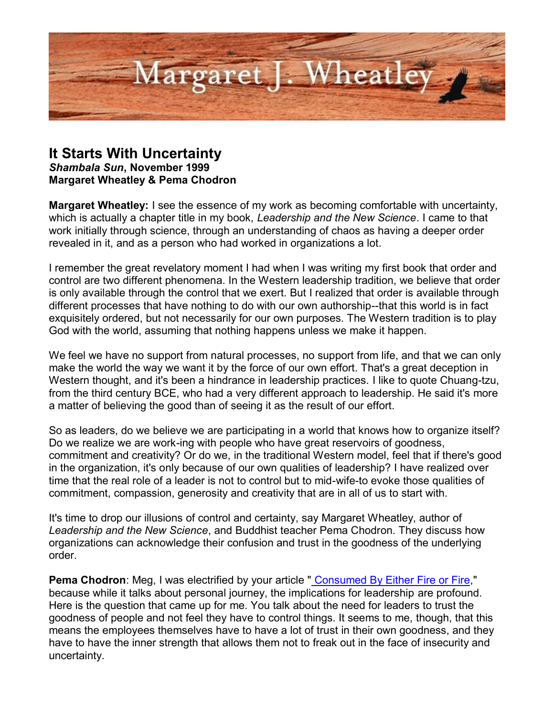

## **It Starts With Uncertainty**

*Shambala Sun***, November 1999 Margaret Wheatley & Pema Chodron**

**Margaret Wheatley:** I see the essence of my work as becoming comfortable with uncertainty, which is actually a chapter title in my book, *Leadership and the New Science*. I came to that work initially through science, through an understanding of chaos as having a deeper order revealed in it, and as a person who had worked in organizations a lot.

I remember the great revelatory moment I had when I was writing my first book that order and control are two different phenomena. In the Western leadership tradition, we believe that order is only available through the control that we exert. But I realized that order is available through different processes that have nothing to do with our own authorship--that this world is in fact exquisitely ordered, but not necessarily for our own purposes. The Western tradition is to play God with the world, assuming that nothing happens unless we make it happen.

We feel we have no support from natural processes, no support from life, and that we can only make the world the way we want it by the force of our own effort. That's a great deception in Western thought, and it's been a hindrance in leadership practices. I like to quote Chuang-tzu, from the third century BCE, who had a very different approach to leadership. He said it's more a matter of believing the good than of seeing it as the result of our effort.

So as leaders, do we believe we are participating in a world that knows how to organize itself? Do we realize we are work-ing with people who have great reservoirs of goodness, commitment and creativity? Or do we, in the traditional Western model, feel that if there's good in the organization, it's only because of our own qualities of leadership? I have realized over time that the real role of a leader is not to control but to mid-wife-to evoke those qualities of commitment, compassion, generosity and creativity that are in all of us to start with.

It's time to drop our illusions of control and certainty, say Margaret Wheatley, author of *Leadership and the New Science*, and Buddhist teacher Pema Chodron. They discuss how organizations can acknowledge their confusion and trust in the goodness of the underlying order.

**Pema Chodron**: Meg, I was electrified by your article " [Consumed By Either Fire or Fire,](http://margaretwheatley.com/articles/fireorfire.html)" because while it talks about personal journey, the implications for leadership are profound. Here is the question that came up for me. You talk about the need for leaders to trust the goodness of people and not feel they have to control things. It seems to me, though, that this means the employees themselves have to have a lot of trust in their own goodness, and they have to have the inner strength that allows them not to freak out in the face of insecurity and uncertainty.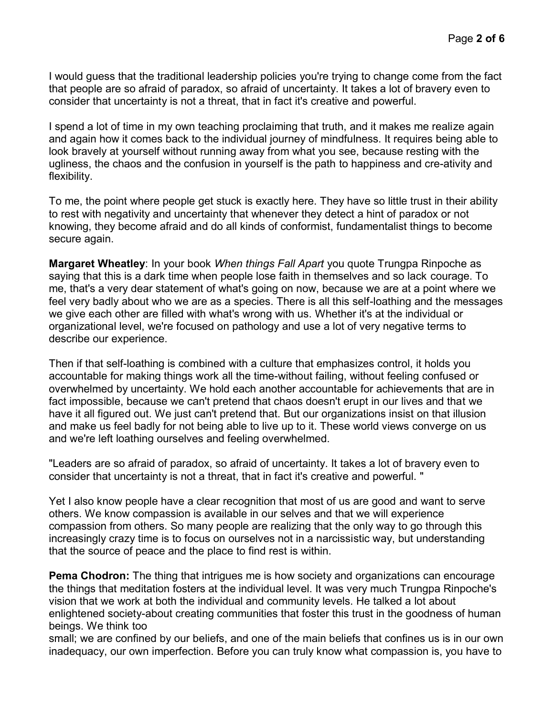I would guess that the traditional leadership policies you're trying to change come from the fact that people are so afraid of paradox, so afraid of uncertainty. It takes a lot of bravery even to consider that uncertainty is not a threat, that in fact it's creative and powerful.

I spend a lot of time in my own teaching proclaiming that truth, and it makes me realize again and again how it comes back to the individual journey of mindfulness. It requires being able to look bravely at yourself without running away from what you see, because resting with the ugliness, the chaos and the confusion in yourself is the path to happiness and cre-ativity and flexibility.

To me, the point where people get stuck is exactly here. They have so little trust in their ability to rest with negativity and uncertainty that whenever they detect a hint of paradox or not knowing, they become afraid and do all kinds of conformist, fundamentalist things to become secure again.

**Margaret Wheatley**: In your book *When things Fall Apart* you quote Trungpa Rinpoche as saying that this is a dark time when people lose faith in themselves and so lack courage. To me, that's a very dear statement of what's going on now, because we are at a point where we feel very badly about who we are as a species. There is all this self-loathing and the messages we give each other are filled with what's wrong with us. Whether it's at the individual or organizational level, we're focused on pathology and use a lot of very negative terms to describe our experience.

Then if that self-loathing is combined with a culture that emphasizes control, it holds you accountable for making things work all the time-without failing, without feeling confused or overwhelmed by uncertainty. We hold each another accountable for achievements that are in fact impossible, because we can't pretend that chaos doesn't erupt in our lives and that we have it all figured out. We just can't pretend that. But our organizations insist on that illusion and make us feel badly for not being able to live up to it. These world views converge on us and we're left loathing ourselves and feeling overwhelmed.

"Leaders are so afraid of paradox, so afraid of uncertainty. It takes a lot of bravery even to consider that uncertainty is not a threat, that in fact it's creative and powerful. "

Yet I also know people have a clear recognition that most of us are good and want to serve others. We know compassion is available in our selves and that we will experience compassion from others. So many people are realizing that the only way to go through this increasingly crazy time is to focus on ourselves not in a narcissistic way, but understanding that the source of peace and the place to find rest is within.

**Pema Chodron:** The thing that intrigues me is how society and organizations can encourage the things that meditation fosters at the individual level. It was very much Trungpa Rinpoche's vision that we work at both the individual and community levels. He talked a lot about enlightened society-about creating communities that foster this trust in the goodness of human beings. We think too

small; we are confined by our beliefs, and one of the main beliefs that confines us is in our own inadequacy, our own imperfection. Before you can truly know what compassion is, you have to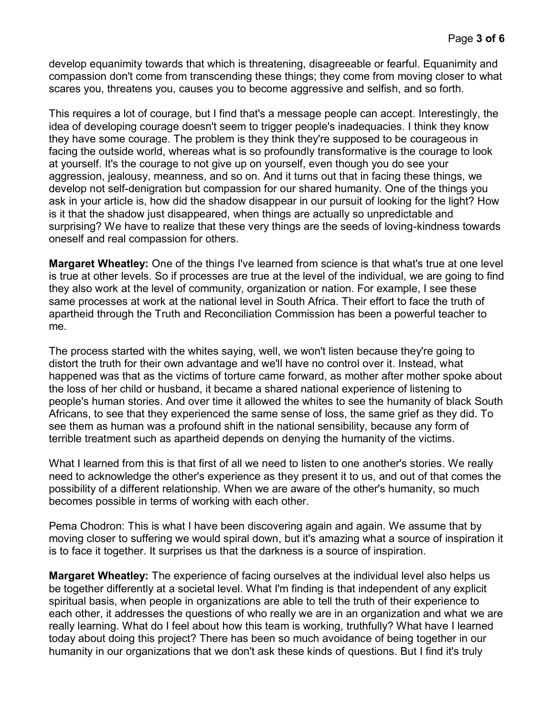develop equanimity towards that which is threatening, disagreeable or fearful. Equanimity and compassion don't come from transcending these things; they come from moving closer to what scares you, threatens you, causes you to become aggressive and selfish, and so forth.

This requires a lot of courage, but I find that's a message people can accept. Interestingly, the idea of developing courage doesn't seem to trigger people's inadequacies. I think they know they have some courage. The problem is they think they're supposed to be courageous in facing the outside world, whereas what is so profoundly transformative is the courage to look at yourself. It's the courage to not give up on yourself, even though you do see your aggression, jealousy, meanness, and so on. And it turns out that in facing these things, we develop not self-denigration but compassion for our shared humanity. One of the things you ask in your article is, how did the shadow disappear in our pursuit of looking for the light? How is it that the shadow just disappeared, when things are actually so unpredictable and surprising? We have to realize that these very things are the seeds of loving-kindness towards oneself and real compassion for others.

**Margaret Wheatley:** One of the things I've learned from science is that what's true at one level is true at other levels. So if processes are true at the level of the individual, we are going to find they also work at the level of community, organization or nation. For example, I see these same processes at work at the national level in South Africa. Their effort to face the truth of apartheid through the Truth and Reconciliation Commission has been a powerful teacher to me.

The process started with the whites saying, well, we won't listen because they're going to distort the truth for their own advantage and we'll have no control over it. Instead, what happened was that as the victims of torture came forward, as mother after mother spoke about the loss of her child or husband, it became a shared national experience of listening to people's human stories. And over time it allowed the whites to see the humanity of black South Africans, to see that they experienced the same sense of loss, the same grief as they did. To see them as human was a profound shift in the national sensibility, because any form of terrible treatment such as apartheid depends on denying the humanity of the victims.

What I learned from this is that first of all we need to listen to one another's stories. We really need to acknowledge the other's experience as they present it to us, and out of that comes the possibility of a different relationship. When we are aware of the other's humanity, so much becomes possible in terms of working with each other.

Pema Chodron: This is what I have been discovering again and again. We assume that by moving closer to suffering we would spiral down, but it's amazing what a source of inspiration it is to face it together. It surprises us that the darkness is a source of inspiration.

**Margaret Wheatley:** The experience of facing ourselves at the individual level also helps us be together differently at a societal level. What I'm finding is that independent of any explicit spiritual basis, when people in organizations are able to tell the truth of their experience to each other, it addresses the questions of who really we are in an organization and what we are really learning. What do I feel about how this team is working, truthfully? What have I learned today about doing this project? There has been so much avoidance of being together in our humanity in our organizations that we don't ask these kinds of questions. But I find it's truly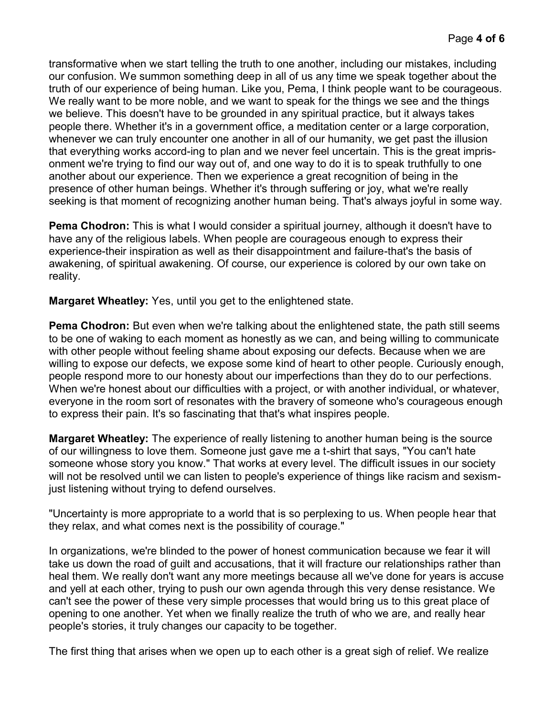transformative when we start telling the truth to one another, including our mistakes, including our confusion. We summon something deep in all of us any time we speak together about the truth of our experience of being human. Like you, Pema, I think people want to be courageous. We really want to be more noble, and we want to speak for the things we see and the things we believe. This doesn't have to be grounded in any spiritual practice, but it always takes people there. Whether it's in a government office, a meditation center or a large corporation, whenever we can truly encounter one another in all of our humanity, we get past the illusion that everything works accord-ing to plan and we never feel uncertain. This is the great imprisonment we're trying to find our way out of, and one way to do it is to speak truthfully to one another about our experience. Then we experience a great recognition of being in the presence of other human beings. Whether it's through suffering or joy, what we're really seeking is that moment of recognizing another human being. That's always joyful in some way.

**Pema Chodron:** This is what I would consider a spiritual journey, although it doesn't have to have any of the religious labels. When people are courageous enough to express their experience-their inspiration as well as their disappointment and failure-that's the basis of awakening, of spiritual awakening. Of course, our experience is colored by our own take on reality.

**Margaret Wheatley:** Yes, until you get to the enlightened state.

**Pema Chodron:** But even when we're talking about the enlightened state, the path still seems to be one of waking to each moment as honestly as we can, and being willing to communicate with other people without feeling shame about exposing our defects. Because when we are willing to expose our defects, we expose some kind of heart to other people. Curiously enough, people respond more to our honesty about our imperfections than they do to our perfections. When we're honest about our difficulties with a project, or with another individual, or whatever, everyone in the room sort of resonates with the bravery of someone who's courageous enough to express their pain. It's so fascinating that that's what inspires people.

**Margaret Wheatley:** The experience of really listening to another human being is the source of our willingness to love them. Someone just gave me a t-shirt that says, "You can't hate someone whose story you know." That works at every level. The difficult issues in our society will not be resolved until we can listen to people's experience of things like racism and sexismjust listening without trying to defend ourselves.

"Uncertainty is more appropriate to a world that is so perplexing to us. When people hear that they relax, and what comes next is the possibility of courage."

In organizations, we're blinded to the power of honest communication because we fear it will take us down the road of guilt and accusations, that it will fracture our relationships rather than heal them. We really don't want any more meetings because all we've done for years is accuse and yell at each other, trying to push our own agenda through this very dense resistance. We can't see the power of these very simple processes that would bring us to this great place of opening to one another. Yet when we finally realize the truth of who we are, and really hear people's stories, it truly changes our capacity to be together.

The first thing that arises when we open up to each other is a great sigh of relief. We realize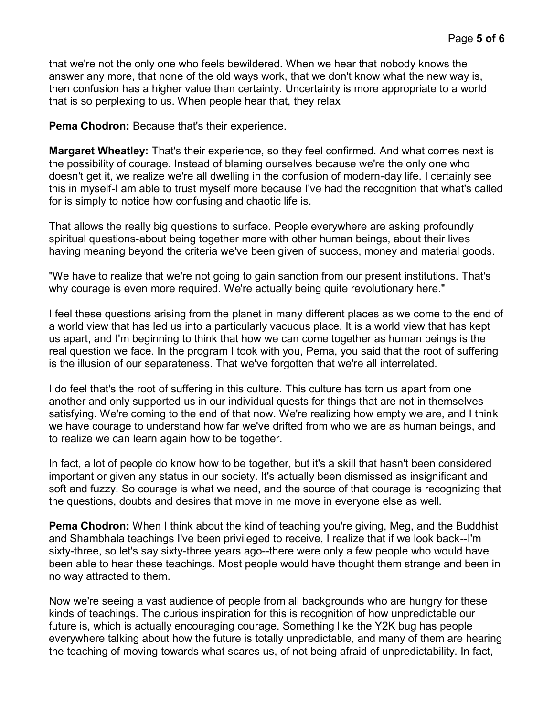that we're not the only one who feels bewildered. When we hear that nobody knows the answer any more, that none of the old ways work, that we don't know what the new way is, then confusion has a higher value than certainty. Uncertainty is more appropriate to a world that is so perplexing to us. When people hear that, they relax

**Pema Chodron:** Because that's their experience.

**Margaret Wheatley:** That's their experience, so they feel confirmed. And what comes next is the possibility of courage. Instead of blaming ourselves because we're the only one who doesn't get it, we realize we're all dwelling in the confusion of modern-day life. I certainly see this in myself-I am able to trust myself more because I've had the recognition that what's called for is simply to notice how confusing and chaotic life is.

That allows the really big questions to surface. People everywhere are asking profoundly spiritual questions-about being together more with other human beings, about their lives having meaning beyond the criteria we've been given of success, money and material goods.

"We have to realize that we're not going to gain sanction from our present institutions. That's why courage is even more required. We're actually being quite revolutionary here."

I feel these questions arising from the planet in many different places as we come to the end of a world view that has led us into a particularly vacuous place. It is a world view that has kept us apart, and I'm beginning to think that how we can come together as human beings is the real question we face. In the program I took with you, Pema, you said that the root of suffering is the illusion of our separateness. That we've forgotten that we're all interrelated.

I do feel that's the root of suffering in this culture. This culture has torn us apart from one another and only supported us in our individual quests for things that are not in themselves satisfying. We're coming to the end of that now. We're realizing how empty we are, and I think we have courage to understand how far we've drifted from who we are as human beings, and to realize we can learn again how to be together.

In fact, a lot of people do know how to be together, but it's a skill that hasn't been considered important or given any status in our society. It's actually been dismissed as insignificant and soft and fuzzy. So courage is what we need, and the source of that courage is recognizing that the questions, doubts and desires that move in me move in everyone else as well.

**Pema Chodron:** When I think about the kind of teaching you're giving, Meg, and the Buddhist and Shambhala teachings I've been privileged to receive, I realize that if we look back--I'm sixty-three, so let's say sixty-three years ago--there were only a few people who would have been able to hear these teachings. Most people would have thought them strange and been in no way attracted to them.

Now we're seeing a vast audience of people from all backgrounds who are hungry for these kinds of teachings. The curious inspiration for this is recognition of how unpredictable our future is, which is actually encouraging courage. Something like the Y2K bug has people everywhere talking about how the future is totally unpredictable, and many of them are hearing the teaching of moving towards what scares us, of not being afraid of unpredictability. In fact,